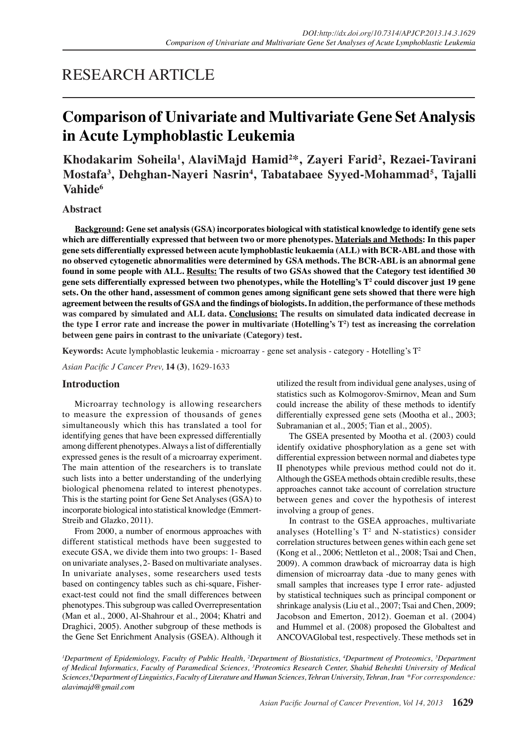## RESEARCH ARTICLE

# **Comparison of Univariate and Multivariate Gene Set Analysis in Acute Lymphoblastic Leukemia**

**Khodakarim Soheila1 , AlaviMajd Hamid2 \*, Zayeri Farid2 , Rezaei-Tavirani**  Mostafa<sup>3</sup>, Dehghan-Nayeri Nasrin<sup>4</sup>, Tabatabaee Syyed-Mohammad<sup>5</sup>, Tajalli **Vahide6**

## **Abstract**

**Background: Gene set analysis (GSA) incorporates biological with statistical knowledge to identify gene sets which are differentially expressed that between two or more phenotypes. Materials and Methods: In this paper gene sets differentially expressed between acute lymphoblastic leukaemia (ALL) with BCR-ABL and those with no observed cytogenetic abnormalities were determined by GSA methods. The BCR-ABL is an abnormal gene**  found in some people with ALL. Results: The results of two GSAs showed that the Category test identified 30 **gene sets differentially expressed between two phenotypes, while the Hotelling's T2 could discover just 19 gene**  sets. On the other hand, assessment of common genes among significant gene sets showed that there were high **ADJUHHPHPHP IDDEXTIFY ADDETERM DESCRIPT ADDETERM IDEDED IDDEX ADDETERM IDEDED IDDEX IDEDED IDDEX IDDEX IDDEX IDDEX IDDEX IDDEX IDDEX IDDEX IDDEX IDDEX IDDEX IDDEX IDDEX IDDEX IDDEX ID was compared by simulated and ALL data. Conclusions: The results on simulated data indicated decrease in the type I error rate and increase the power in multivariate (Hotelling's T2 ) test as increasing the correlation between gene pairs in contrast to the univariate (Category) test.**

**Keywords:** Acute lymphoblastic leukemia - microarray - gene set analysis - category - Hotelling's T2

*Asian Pacific J Cancer Prev,* **14 (3)**, 1629-1633

## **Introduction**

Microarray technology is allowing researchers to measure the expression of thousands of genes simultaneously which this has translated a tool for identifying genes that have been expressed differentially among different phenotypes. Always a list of differentially expressed genes is the result of a microarray experiment. The main attention of the researchers is to translate such lists into a better understanding of the underlying biological phenomena related to interest phenotypes. This is the starting point for Gene Set Analyses (GSA) to incorporate biological into statistical knowledge (Emmert-Streib and Glazko, 2011).

From 2000, a number of enormous approaches with different statistical methods have been suggested to execute GSA, we divide them into two groups: 1- Based on univariate analyses, 2- Based on multivariate analyses. In univariate analyses, some researchers used tests based on contingency tables such as chi-square, Fisherexact-test could not find the small differences between phenotypes. This subgroup was called Overrepresentation (Man et al., 2000, Al-Shahrour et al., 2004; Khatri and Draghici, 2005). Another subgroup of these methods is the Gene Set Enrichment Analysis (GSEA). Although it

utilized the result from individual gene analyses, using of statistics such as Kolmogorov-Smirnov, Mean and Sum could increase the ability of these methods to identify differentially expressed gene sets (Mootha et al., 2003; Subramanian et al., 2005; Tian et al., 2005).

The GSEA presented by Mootha et al. (2003) could identify oxidative phosphorylation as a gene set with differential expression between normal and diabetes type II phenotypes while previous method could not do it. Although the GSEA methods obtain credible results, these approaches cannot take account of correlation structure between genes and cover the hypothesis of interest involving a group of genes.

In contrast to the GSEA approaches, multivariate analyses (Hotelling's  $T^2$  and N-statistics) consider correlation structures between genes within each gene set (Kong et al., 2006; Nettleton et al., 2008; Tsai and Chen, 2009). A common drawback of microarray data is high dimension of microarray data -due to many genes with small samples that increases type I error rate- adjusted by statistical techniques such as principal component or shrinkage analysis (Liu et al., 2007; Tsai and Chen, 2009; Jacobson and Emerton, 2012). Goeman et al. (2004) and Hummel et al. (2008) proposed the Globaltest and ANCOVAGlobal test, respectively. These methods set in

<sup>*I*</sup>Department of Epidemiology, Faculty of Public Health, <sup>2</sup>Department of Biostatistics, <sup>4</sup>Department of Proteomics, <sup>5</sup>Department of Medical Informatics, Faculty of Paramedical Sciences, <sup>3</sup>Proteomics Research Center, Shahid Beheshti University of Medical  $S$ ciences,<sup>6</sup>Department of Linguistics, Faculty of Literature and Human Sciences, Tehran University, Tehran, Iran \*For correspondence:  $alavimajd@gmail.com$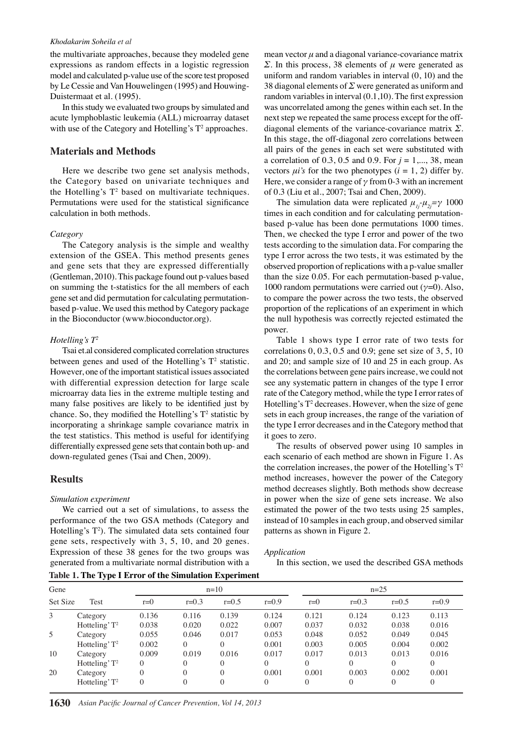#### *Khodakarim Soheila et al*

the multivariate approaches, because they modeled gene expressions as random effects in a logistic regression model and calculated p-value use of the score test proposed by Le Cessie and Van Houwelingen (1995) and Houwing-Duistermaat et al. (1995).

In this study we evaluated two groups by simulated and acute lymphoblastic leukemia (ALL) microarray dataset with use of the Category and Hotelling's  $T^2$  approaches.

### **Materials and Methods**

Here we describe two gene set analysis methods, the Category based on univariate techniques and the Hotelling's  $T^2$  based on multivariate techniques. Permutations were used for the statistical significance calculation in both methods.

#### $Category$

The Category analysis is the simple and wealthy extension of the GSEA. This method presents genes and gene sets that they are expressed differentially (Gentleman, 2010). This package found out p-values based on summing the t-statistics for the all members of each gene set and did permutation for calculating permutationbased p-value. We used this method by Category package in the Bioconductor (www.bioconductor.org).

#### *Hotelling's*  $T^2$

Tsai et.al considered complicated correlation structures between genes and used of the Hotelling's  $T^2$  statistic. However, one of the important statistical issues associated with differential expression detection for large scale microarray data lies in the extreme multiple testing and many false positives are likely to be identified just by chance. So, they modified the Hotelling's  $T^2$  statistic by incorporating a shrinkage sample covariance matrix in the test statistics. This method is useful for identifying differentially expressed gene sets that contain both up- and down-regulated genes (Tsai and Chen, 2009).

#### **Results**

#### *Simulation experiment*

We carried out a set of simulations, to assess the performance of the two GSA methods (Category and Hotelling's  $T^2$ ). The simulated data sets contained four gene sets, respectively with 3, 5, 10, and 20 genes. Expression of these 38 genes for the two groups was generated from a multivariate normal distribution with a **Table 1. The Type I Error of the Simulation Experiment**

mean vector  $\mu$  and a diagonal variance-covariance matrix  $\Sigma$ . In this process, 38 elements of *u* were generated as uniform and random variables in interval (0, 10) and the 38 diagonal elements of  $\Sigma$  were generated as uniform and random variables in interval  $(0.1.10)$ . The first expression was uncorrelated among the genes within each set. In the next step we repeated the same process except for the offdiagonal elements of the variance-covariance matrix  $\Sigma$ . In this stage, the off-diagonal zero correlations between all pairs of the genes in each set were substituted with a correlation of 0.3, 0.5 and 0.9. For  $j = 1, ..., 38$ , mean vectors  $\mu$ *i*'s for the two phenotypes ( $i = 1, 2$ ) differ by. Here, we consider a range of  $\gamma$  from 0-3 with an increment of 0.3 (Liu et al., 2007; Tsai and Chen, 2009).

The simulation data were replicated  $\mu_{1}$  $\mu_{2} = \gamma$  1000 times in each condition and for calculating permutationbased p-value has been done permutations 1000 times. Then, we checked the type I error and power of the two tests according to the simulation data. For comparing the type I error across the two tests, it was estimated by the observed proportion of replications with a p-value smaller than the size 0.05. For each permutation-based p-value, 1000 random permutations were carried out  $(\gamma=0)$ . Also, to compare the power across the two tests, the observed proportion of the replications of an experiment in which the null hypothesis was correctly rejected estimated the power.

Table 1 shows type I error rate of two tests for correlations 0, 0.3, 0.5 and 0.9; gene set size of 3, 5, 10 and 20; and sample size of 10 and 25 in each group. As the correlations between gene pairs increase, we could not see any systematic pattern in changes of the type I error rate of the Category method, while the type I error rates of Hotelling's  $T^2$  decreases. However, when the size of gene sets in each group increases, the range of the variation of the type I error decreases and in the Category method that it goes to zero.

The results of observed power using 10 samples in each scenario of each method are shown in Figure 1. As the correlation increases, the power of the Hotelling's  $T^2$ method increases, however the power of the Category method decreases slightly. Both methods show decrease in power when the size of gene sets increase. We also estimated the power of the two tests using 25 samples, instead of 10 samples in each group, and observed similar patterns as shown in Figure 2.

#### $Application$

In this section, we used the described GSA methods

|          | - -              |          |           |          |                    |          |          |           |           |       |
|----------|------------------|----------|-----------|----------|--------------------|----------|----------|-----------|-----------|-------|
| Gene     |                  | $n=10$   |           |          |                    | $n=25$   |          |           |           |       |
| Set Size | Test             | $r=0$    | $r = 0.3$ | $r=0.5$  | $r = 0.9$          | $r=0$    | $r=0.3$  | $r = 0.5$ | $r = 0.9$ |       |
| 3        | Category         | 0.136    | 0.116     | 0.139    | 0.124              | 0.121    | 0.124    | 0.123     | 0.113     |       |
|          | Hotteling' $T^2$ | 0.038    | 0.020     | 0.022    | 0.007              | 0.037    | 0.032    | 0.038     | 0.016     |       |
| 5        | Category         | 0.055    | 0.046     | 0.017    | 0.053              | 0.048    | 0.052    | 0.049     | 0.045     |       |
|          | Hotteling' $T^2$ | 0.002    | $\Omega$  | 0        | 0.001              | 0.003    | 0.005    | 0.004     | 0.002     |       |
| 10       | Category         | 0.009    | 0.019     | 0.016    | 0.017              | 0.017    | 0.013    | 0.013     | 0.016     |       |
|          | Hotteling' $T^2$ | 0        | 0         | 0        | $\Omega$           | $\Omega$ | $\theta$ | $\Omega$  | $\Omega$  |       |
| 20       | Category         | $\theta$ | $\Omega$  | $\theta$ | 0.001              | 0.001    | 0.003    | 0.002     | 0.001     |       |
|          | Hotteling' $T^2$ | $\theta$ | $\Omega$  | $\theta$ | 100.0 <sub>0</sub> | $\Omega$ | $\theta$ | $\Omega$  | 0         | 100.0 |
|          |                  |          |           |          |                    |          |          |           |           |       |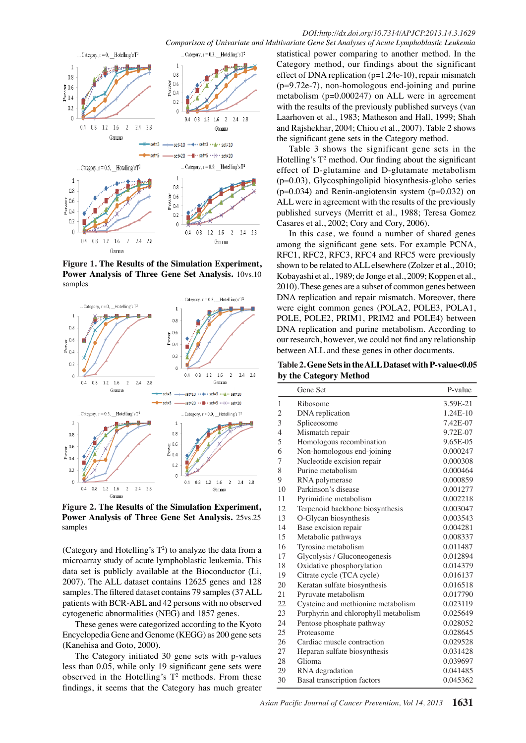*Comparison of Univariate and Multivariate Gene Set Analyses of Acute Lymphoblastic Leukemia*



**Figure 1. The Results of the Simulation Experiment, Power Analysis of Three Gene Set Analysis.** 10vs.10 samples



**Figure 2. The Results of the Simulation Experiment, Power Analysis of Three Gene Set Analysis.** 25vs.25 samples

(Category and Hotelling's  $T^2$ ) to analyze the data from a microarray study of acute lymphoblastic leukemia. This data set is publicly available at the Bioconductor (Li, 2007). The ALL dataset contains 12625 genes and 128 samples. The filtered dataset contains 79 samples (37 ALL patients with BCR-ABL and 42 persons with no observed cytogenetic abnormalities (NEG) and 1857 genes.

These genes were categorized according to the Kyoto Encyclopedia Gene and Genome (KEGG) as 200 gene sets (Kanehisa and Goto, 2000).

The Category initiated 30 gene sets with p-values less than  $0.05$ , while only 19 significant gene sets were observed in the Hotelling's  $T^2$  methods. From these findings, it seems that the Category has much greater

statistical power comparing to another method. In the Category method, our findings about the significant effect of DNA replication (p=1.24e-10), repair mismatch (p=9.72e-7), non-homologous end-joining and purine metabolism (p=0.000247) on ALL were in agreement with the results of the previously published surveys (van Laarhoven et al., 1983; Matheson and Hall, 1999; Shah and Rajshekhar, 2004; Chiou et al., 2007). Table 2 shows the significant gene sets in the Category method.

Table 3 shows the significant gene sets in the Hotelling's  $T^2$  method. Our finding about the significant effect of D-glutamine and D-glutamate metabolism  $(p=0.03)$ , Glycosphingolipid biosynthesis-globo series  $(p=0.034)$  and Renin-angiotensin system  $(p=0.032)$  on ALL were in agreement with the results of the previously published surveys (Merritt et al., 1988; Teresa Gomez Casares et al., 2002; Cory and Cory, 2006).

In this case, we found a number of shared genes among the significant gene sets. For example PCNA, RFC1, RFC2, RFC3, RFC4 and RFC5 were previously shown to be related to ALL elsewhere (Zolzer et al., 2010; Kobayashi et al., 1989; de Jonge et al., 2009; Koppen et al., 2010). These genes are a subset of common genes between DNA replication and repair mismatch. Moreover, there were eight common genes (POLA2, POLE3, POLA1, POLE, POLE2, PRIM1, PRIM2 and POLE4) between DNA replication and purine metabolism. According to our research, however, we could not find any relationship between ALL and these genes in other documents.

Table 2. Gene Sets in the ALL Dataset with P-value<0.05 **by the Category Method**

|                         | <b>Gene Set</b>                      | P-value  |
|-------------------------|--------------------------------------|----------|
| 1                       | Ribosome                             | 3.59E-21 |
| $\overline{\mathbf{c}}$ | DNA replication                      | 1.24E-10 |
| 3                       | Spliceosome                          | 7.42E-07 |
| 4                       | Mismatch repair                      | 9.72E-07 |
| 5                       | Homologous recombination             | 9.65E-05 |
| 6                       | Non-homologous end-joining           | 0.000247 |
| 7                       | Nucleotide excision repair           | 0.000308 |
| 8                       | Purine metabolism                    | 0.000464 |
| 9                       | RNA polymerase                       | 0.000859 |
| 10                      | Parkinson's disease                  | 0.001277 |
| 11                      | Pyrimidine metabolism                | 0.002218 |
| 12                      | Terpenoid backbone biosynthesis      | 0.003047 |
| 13                      | O-Glycan biosynthesis                | 0.003543 |
| 14                      | Base excision repair                 | 0.004281 |
| 15                      | Metabolic pathways                   | 0.008337 |
| 16                      | Tyrosine metabolism                  | 0.011487 |
| 17                      | Glycolysis / Gluconeogenesis         | 0.012894 |
| 18                      | Oxidative phosphorylation            | 0.014379 |
| 19                      | Citrate cycle (TCA cycle)            | 0.016137 |
| 20                      | Keratan sulfate biosynthesis         | 0.016518 |
| 21                      | Pyruvate metabolism                  | 0.017790 |
| 22                      | Cysteine and methionine metabolism   | 0.023119 |
| 23                      | Porphyrin and chlorophyll metabolism | 0.025649 |
| 24                      | Pentose phosphate pathway            | 0.028052 |
| 25                      | Proteasome                           | 0.028645 |
| 26                      | Cardiac muscle contraction           | 0.029528 |
| 27                      | Heparan sulfate biosynthesis         | 0.031428 |
| 28                      | Glioma                               | 0.039697 |
| 29                      | RNA degradation                      | 0.041485 |
| 30                      | Basal transcription factors          | 0.045362 |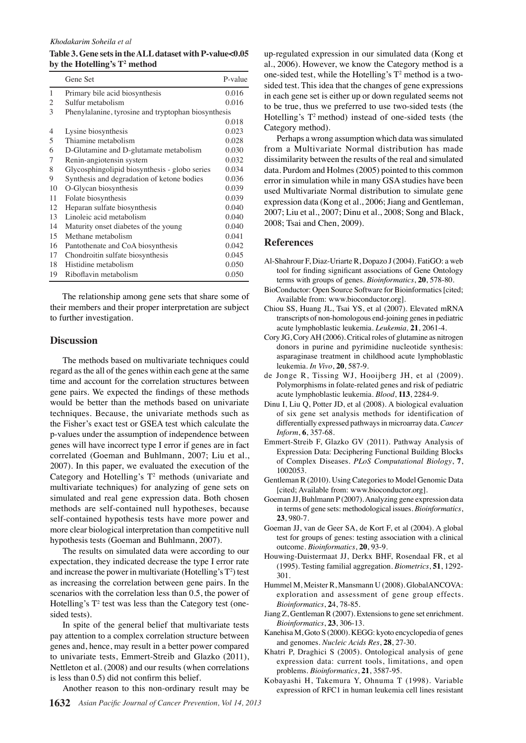#### *Khodakarim Soheila et al*

Table 3. Gene sets in the ALL dataset with P-value<0.05 **by the Hotelling's T2 method**

|    | Gene Set                                            | P-value |
|----|-----------------------------------------------------|---------|
| 1  | Primary bile acid biosynthesis                      | 0.016   |
| 2  | Sulfur metabolism                                   | 0.016   |
| 3  | Phenylalanine, tyrosine and tryptophan biosynthesis |         |
|    |                                                     | 0.018   |
| 4  | Lysine biosynthesis                                 | 0.023   |
| 5  | Thiamine metabolism                                 | 0.028   |
| 6  | D-Glutamine and D-glutamate metabolism              | 0.030   |
| 7  | Renin-angiotensin system                            | 0.032   |
| 8  | Glycosphingolipid biosynthesis - globo series       | 0.034   |
| 9  | Synthesis and degradation of ketone bodies          | 0.036   |
| 10 | O-Glycan biosynthesis                               | 0.039   |
| 11 | Folate biosynthesis                                 | 0.039   |
| 12 | Heparan sulfate biosynthesis                        | 0.040   |
| 13 | Linoleic acid metabolism                            | 0.040   |
| 14 | Maturity onset diabetes of the young.               | 0.040   |
| 15 | Methane metabolism                                  | 0.041   |
| 16 | Pantothenate and CoA biosynthesis                   | 0.042   |
| 17 | Chondroitin sulfate biosynthesis                    | 0.045   |
| 18 | Histidine metabolism                                | 0.050   |
| 19 | Riboflavin metabolism                               | 0.050   |

The relationship among gene sets that share some of their members and their proper interpretation are subject to further investigation.

#### **Discussion**

The methods based on multivariate techniques could regard as the all of the genes within each gene at the same time and account for the correlation structures between gene pairs. We expected the findings of these methods would be better than the methods based on univariate techniques. Because, the univariate methods such as the Fisher's exact test or GSEA test which calculate the p-values under the assumption of independence between genes will have incorrect type I error if genes are in fact correlated (Goeman and Buhlmann, 2007; Liu et al., 2007). In this paper, we evaluated the execution of the Category and Hotelling's  $T^2$  methods (univariate and multivariate techniques) for analyzing of gene sets on simulated and real gene expression data. Both chosen methods are self-contained null hypotheses, because self-contained hypothesis tests have more power and more clear biological interpretation than competitive null hypothesis tests (Goeman and Buhlmann, 2007).

The results on simulated data were according to our expectation, they indicated decrease the type I error rate and increase the power in multivariate (Hotelling's  $T^2$ ) test as increasing the correlation between gene pairs. In the scenarios with the correlation less than 0.5, the power of Hotelling's  $T^2$  test was less than the Category test (onesided tests).

In spite of the general belief that multivariate tests pay attention to a complex correlation structure between genes and, hence, may result in a better power compared to univariate tests, Emmert-Streib and Glazko (2011), Nettleton et al. (2008) and our results (when correlations is less than  $0.5$ ) did not confirm this belief.

Another reason to this non-ordinary result may be

up-regulated expression in our simulated data (Kong et al., 2006). However, we know the Category method is a one-sided test, while the Hotelling's  $T^2$  method is a twosided test. This idea that the changes of gene expressions in each gene set is either up or down regulated seems not to be true, thus we preferred to use two-sided tests (the Hotelling's  $T^2$  method) instead of one-sided tests (the Category method).

Perhaps a wrong assumption which data was simulated from a Multivariate Normal distribution has made dissimilarity between the results of the real and simulated data. Purdom and Holmes (2005) pointed to this common error in simulation while in many GSA studies have been used Multivariate Normal distribution to simulate gene expression data (Kong et al., 2006; Jiang and Gentleman, 2007; Liu et al., 2007; Dinu et al., 2008; Song and Black, 2008; Tsai and Chen, 2009).

#### **References**

- Al-Shahrour F, Diaz-Uriarte R, Dopazo J (2004). FatiGO: a web tool for finding significant associations of Gene Ontology terms with groups of genes. *Bioinformatics*, **20**, 578-80.
- BioConductor: Open Source Software for Bioinformatics [cited; Available from: www.bioconductor.org].
- Chiou SS, Huang JL, Tsai YS, et al (2007). Elevated mRNA transcripts of non-homologous end-joining genes in pediatric acute lymphoblastic leukemia. *Leukemia*, 21, 2061-4.
- Cory JG, Cory AH (2006). Critical roles of glutamine as nitrogen donors in purine and pyrimidine nucleotide synthesis: asparaginase treatment in childhood acute lymphoblastic leukemia. *In Vivo*, 20, 587-9.
- de Jonge R, Tissing WJ, Hooijberg JH, et al (2009). Polymorphisms in folate-related genes and risk of pediatric acute lymphoblastic leukemia. *Blood*, 113, 2284-9.
- Dinu I, Liu Q, Potter JD, et al (2008). A biological evaluation of six gene set analysis methods for identification of differentially expressed pathways in microarray data. *Cancer Inform*, **6**, 357-68.
- Emmert-Streib F, Glazko GV (2011). Pathway Analysis of Expression Data: Deciphering Functional Building Blocks of Complex Diseases. *PLoS Computational Biology*, 7, 1002053.
- Gentleman R (2010). Using Categories to Model Genomic Data [cited; Available from: www.bioconductor.org].
- Goeman JJ, Buhlmann P (2007). Analyzing gene expression data in terms of gene sets: methodological issues. *Bioinformatics*, **23**, 980-7.
- Goeman JJ, van de Geer SA, de Kort F, et al (2004). A global test for groups of genes: testing association with a clinical outcome. *Bioinformatics*, 20, 93-9.
- Houwing-Duistermaat JJ, Derkx BHF, Rosendaal FR, et al (1995). Testing familial aggregation. *Biometrics*, 51, 1292-301.
- Hummel M, Meister R, Mansmann U (2008). GlobalANCOVA: exploration and assessment of gene group effects. *Bioinformatics*, 24, 78-85.
- Jiang Z, Gentleman R (2007). Extensions to gene set enrichment. *Bioinformatics*, **23**, 306-13.
- Kanehisa M, Goto S (2000). KEGG: kyoto encyclopedia of genes and genomes. *Nucleic Acids Res*, 28, 27-30.
- Khatri P, Draghici S (2005). Ontological analysis of gene expression data: current tools, limitations, and open problems. *Bioinformatics*, 21, 3587-95.
- Kobayashi H, Takemura Y, Ohnuma T (1998). Variable expression of RFC1 in human leukemia cell lines resistant